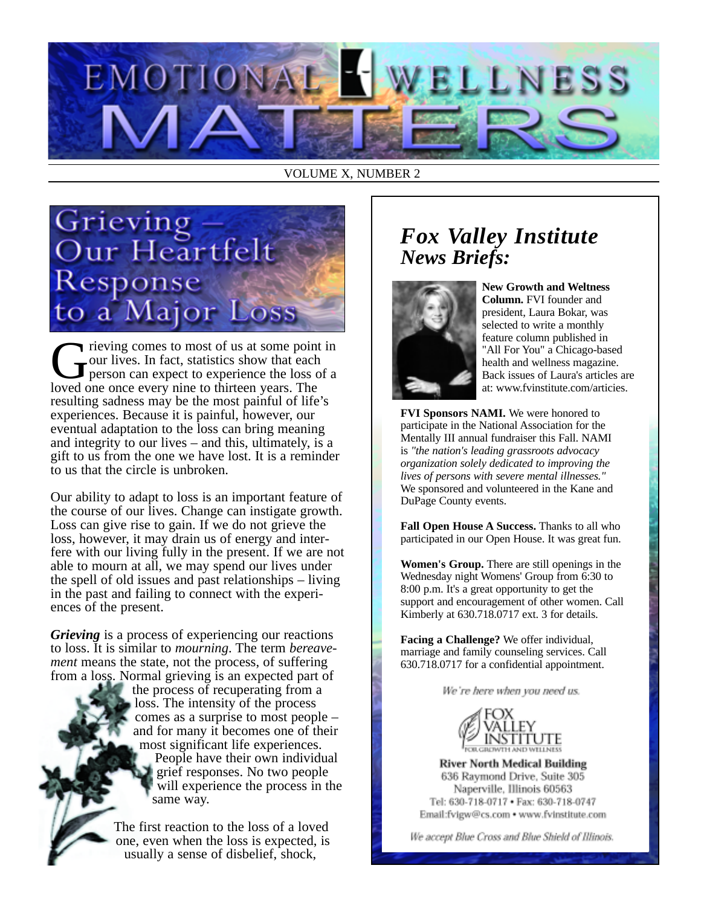

VOLUME X, NUMBER 2



Trieving comes to most of us at some point in<br>
Tour lives. In fact, statistics show that each<br>
person can expect to experience the loss of a<br>
loved one once every nine to thirteen years. The our lives. In fact, statistics show that each person can expect to experience the loss of a loved one once every nine to thirteen years. The resulting sadness may be the most painful of life's experiences. Because it is painful, however, our eventual adaptation to the loss can bring meaning and integrity to our lives – and this, ultimately, is a gift to us from the one we have lost. It is a reminder to us that the circle is unbroken.

Our ability to adapt to loss is an important feature of the course of our lives. Change can instigate growth. Loss can give rise to gain. If we do not grieve the loss, however, it may drain us of energy and interfere with our living fully in the present. If we are not able to mourn at all, we may spend our lives under the spell of old issues and past relationships – living in the past and failing to connect with the experiences of the present.

*Grieving* is a process of experiencing our reactions to loss. It is similar to *mourning*. The term *bereavement* means the state, not the process, of suffering from a loss. Normal grieving is an expected part of

the process of recuperating from a loss. The intensity of the process comes as a surprise to most people – and for many it becomes one of their most significant life experiences. People have their own individual grief responses. No two people will experience the process in the same way.

The first reaction to the loss of a loved one, even when the loss is expected, is usually a sense of disbelief, shock,

## *Fox Valley Institute News Briefs:*



**New Growth and Weltness Column.** FVI founder and president, Laura Bokar, was selected to write a monthly feature column published in "All For You" a Chicago-based health and wellness magazine. Back issues of Laura's articles are at: www.fvinstitute.com/articies.

**FVI Sponsors NAMI.** We were honored to participate in the National Association for the Mentally III annual fundraiser this Fall. NAMI is *"the nation's leading grassroots advocacy organization solely dedicated to improving the lives of persons with severe mental illnesses."* We sponsored and volunteered in the Kane and DuPage County events.

**Fall Open House A Success.** Thanks to all who participated in our Open House. It was great fun.

**Women's Group.** There are still openings in the Wednesday night Womens' Group from 6:30 to 8:00 p.m. It's a great opportunity to get the support and encouragement of other women. Call Kimberly at 630.718.0717 ext. 3 for details.

**Facing a Challenge?** We offer individual, marriage and family counseling services. Call 630.718.0717 for a confidential appointment.

We're here when you need us.



**River North Medical Building** 636 Raymond Drive, Suite 305 Naperville, Illinois 60563 Tel: 630-718-0717 . Fax: 630-718-0747 Email:fvigw@cs.com • www.fvinstitute.com

We accept Blue Cross and Blue Shield of Illinois.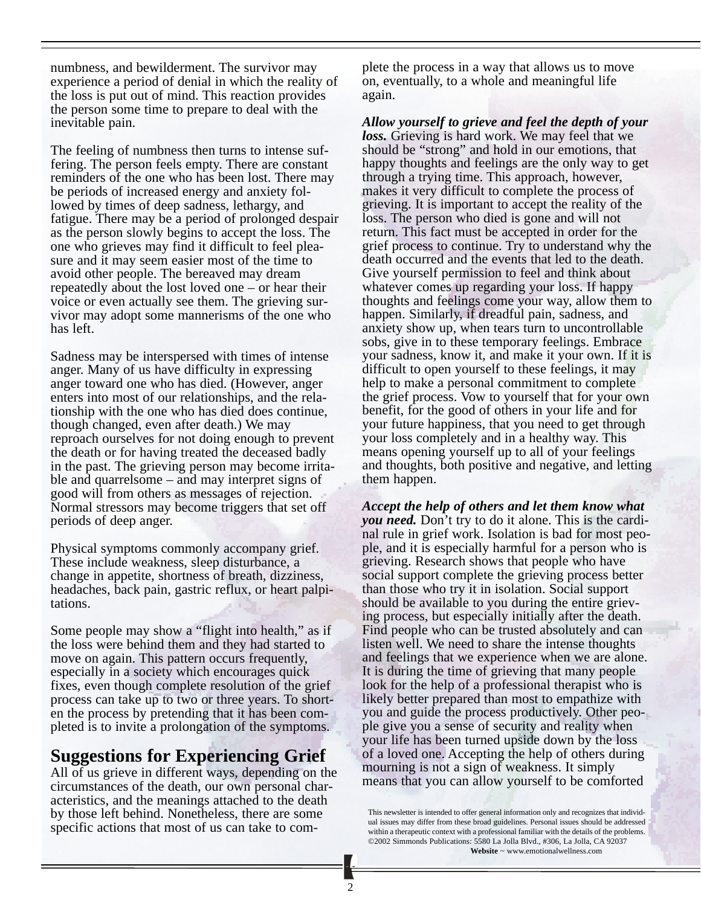numbness, and bewilderment. The survivor may experience a period of denial in which the reality of the loss is put out of mind. This reaction provides the person some time to prepare to deal with the inevitable pain.

The feeling of numbness then turns to intense suffering. The person feels empty. There are constant reminders of the one who has been lost. There may be periods of increased energy and anxiety followed by times of deep sadness, lethargy, and fatigue. There may be a period of prolonged despair as the person slowly begins to accept the loss. The one who grieves may find it difficult to feel pleasure and it may seem easier most of the time to avoid other people. The bereaved may dream repeatedly about the lost loved one – or hear their voice or even actually see them. The grieving survivor may adopt some mannerisms of the one who has left.

Sadness may be interspersed with times of intense anger. Many of us have difficulty in expressing anger toward one who has died. (However, anger enters into most of our relationships, and the relationship with the one who has died does continue, though changed, even after death.) We may reproach ourselves for not doing enough to prevent the death or for having treated the deceased badly in the past. The grieving person may become irritable and quarrelsome – and may interpret signs of good will from others as messages of rejection. Normal stressors may become triggers that set off periods of deep anger.

Physical symptoms commonly accompany grief. These include weakness, sleep disturbance, a change in appetite, shortness of breath, dizziness, headaches, back pain, gastric reflux, or heart palpitations.

Some people may show a "flight into health," as if the loss were behind them and they had started to move on again. This pattern occurs frequently, especially in a society which encourages quick fixes, even though complete resolution of the grief process can take up to two or three years. To shorten the process by pretending that it has been completed is to invite a prolongation of the symptoms.

## **Suggestions for Experiencing Grief**

All of us grieve in different ways, depending on the circumstances of the death, our own personal characteristics, and the meanings attached to the death by those left behind. Nonetheless, there are some specific actions that most of us can take to complete the process in a way that allows us to move on, eventually, to a whole and meaningful life again.

*Allow yourself to grieve and feel the depth of your loss.* Grieving is hard work. We may feel that we should be "strong" and hold in our emotions, that happy thoughts and feelings are the only way to get through a trying time. This approach, however, makes it very difficult to complete the process of grieving. It is important to accept the reality of the loss. The person who died is gone and will not return. This fact must be accepted in order for the grief process to continue. Try to understand why the death occurred and the events that led to the death. Give yourself permission to feel and think about whatever comes up regarding your loss. If happy thoughts and feelings come your way, allow them to happen. Similarly, if dreadful pain, sadness, and anxiety show up, when tears turn to uncontrollable sobs, give in to these temporary feelings. Embrace your sadness, know it, and make it your own. If it is difficult to open yourself to these feelings, it may help to make a personal commitment to complete the grief process. Vow to yourself that for your own benefit, for the good of others in your life and for your future happiness, that you need to get through your loss completely and in a healthy way. This means opening yourself up to all of your feelings and thoughts, both positive and negative, and letting them happen.

*Accept the help of others and let them know what you need.* Don't try to do it alone. This is the cardinal rule in grief work. Isolation is bad for most people, and it is especially harmful for a person who is grieving. Research shows that people who have social support complete the grieving process better than those who try it in isolation. Social support should be available to you during the entire grieving process, but especially initially after the death. Find people who can be trusted absolutely and can listen well. We need to share the intense thoughts and feelings that we experience when we are alone. It is during the time of grieving that many people look for the help of a professional therapist who is likely better prepared than most to empathize with you and guide the process productively. Other people give you a sense of security and reality when your life has been turned upside down by the loss of a loved one. Accepting the help of others during mourning is not a sign of weakness. It simply means that you can allow yourself to be comforted

This newsletter is intended to offer general information only and recognizes that individual issues may differ from these broad guidelines. Personal issues should be addressed within a therapeutic context with a professional familiar with the details of the problems. ©2002 Simmonds Publications: 5580 La Jolla Blvd., #306, La Jolla, CA 92037 **Website** ~ www.emotionalwellness.com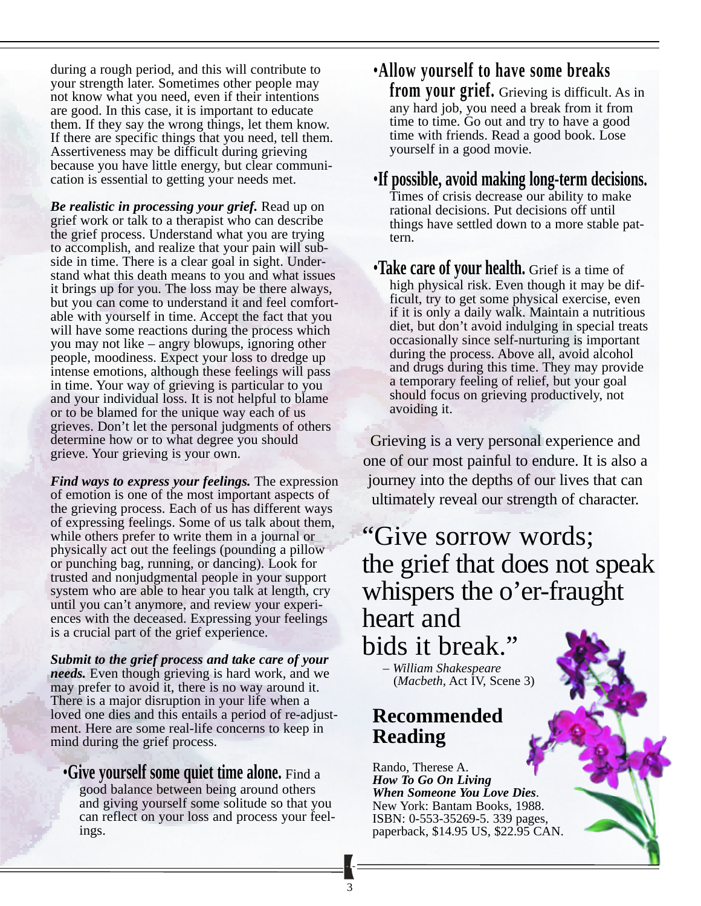during a rough period, and this will contribute to your strength later. Sometimes other people may not know what you need, even if their intentions are good. In this case, it is important to educate them. If they say the wrong things, let them know. If there are specific things that you need, tell them. Assertiveness may be difficult during grieving because you have little energy, but clear communication is essential to getting your needs met.

*Be realistic in processing your grief.* Read up on grief work or talk to a therapist who can describe the grief process. Understand what you are trying to accomplish, and realize that your pain will subside in time. There is a clear goal in sight. Understand what this death means to you and what issues it brings up for you. The loss may be there always, but you can come to understand it and feel comfortable with yourself in time. Accept the fact that you will have some reactions during the process which you may not like – angry blowups, ignoring other people, moodiness. Expect your loss to dredge up intense emotions, although these feelings will pass in time. Your way of grieving is particular to you and your individual loss. It is not helpful to blame or to be blamed for the unique way each of us grieves. Don't let the personal judgments of others determine how or to what degree you should grieve. Your grieving is your own.

*Find ways to express your feelings.* The expression of emotion is one of the most important aspects of the grieving process. Each of us has different ways of expressing feelings. Some of us talk about them, while others prefer to write them in a journal or physically act out the feelings (pounding a pillow or punching bag, running, or dancing). Look for trusted and nonjudgmental people in your support system who are able to hear you talk at length, cry until you can't anymore, and review your experiences with the deceased. Expressing your feelings is a crucial part of the grief experience.

*Submit to the grief process and take care of your needs.* Even though grieving is hard work, and we may prefer to avoid it, there is no way around it. There is a major disruption in your life when a loved one dies and this entails a period of re-adjustment. Here are some real-life concerns to keep in mind during the grief process.

•**Give yourself some quiet time alone.** Find a good balance between being around others and giving yourself some solitude so that you can reflect on your loss and process your feelings.

•**Allow yourself to have some breaks from your grief.** Grieving is difficult. As in any hard job, you need a break from it from time to time. Go out and try to have a good time with friends. Read a good book. Lose yourself in a good movie.

## •**If possible, avoid making long-term decisions.** Times of crisis decrease our ability to make rational decisions. Put decisions off until things have settled down to a more stable pattern.

•**Take care of your health.** Grief is a time of high physical risk. Even though it may be difficult, try to get some physical exercise, even if it is only a daily walk. Maintain a nutritious diet, but don't avoid indulging in special treats occasionally since self-nurturing is important during the process. Above all, avoid alcohol and drugs during this time. They may provide a temporary feeling of relief, but your goal should focus on grieving productively, not avoiding it.

Grieving is a very personal experience and one of our most painful to endure. It is also a journey into the depths of our lives that can ultimately reveal our strength of character.

"Give sorrow words; the grief that does not speak whispers the o'er-fraught heart and bids it break."

– *William Shakespeare* (*Macbeth*, Act IV, Scene 3)

## **Recommended Reading**

Rando, Therese A. *How To Go On Living When Someone You Love Dies*. New York: Bantam Books, 1988. ISBN: 0-553-35269-5. 339 pages, paperback, \$14.95 US, \$22.95 CAN.